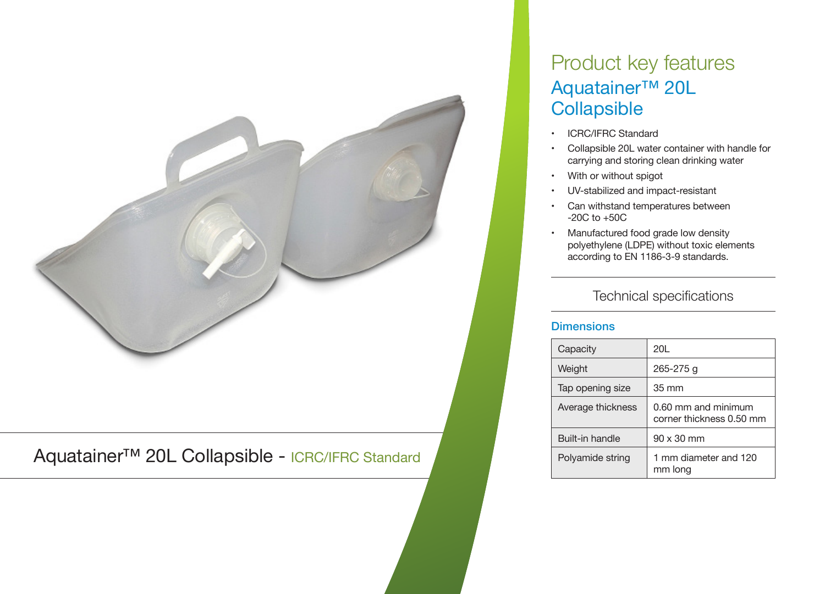

Aquatainer™ 20L Collapsible - ICRC/IFRC Standard

## Product key features Aquatainer™ 20L **Collapsible**

- ICRC/IFRC Standard
- Collapsible 20L water container with handle for carrying and storing clean drinking water
- With or without spigot
- UV-stabilized and impact-resistant
- Can withstand temperatures between -20C to +50C
- • Manufactured food grade low density polyethylene (LDPE) without toxic elements according to EN 1186-3-9 standards.

Technical specifications

## **Dimensions**

| Capacity               | 20L                                               |
|------------------------|---------------------------------------------------|
| Weight                 | 265-275 g                                         |
| Tap opening size       | 35 mm                                             |
| Average thickness      | $0.60$ mm and minimum<br>corner thickness 0.50 mm |
| <b>Built-in handle</b> | $90 \times 30$ mm                                 |
| Polyamide string       | 1 mm diameter and 120<br>mm long                  |